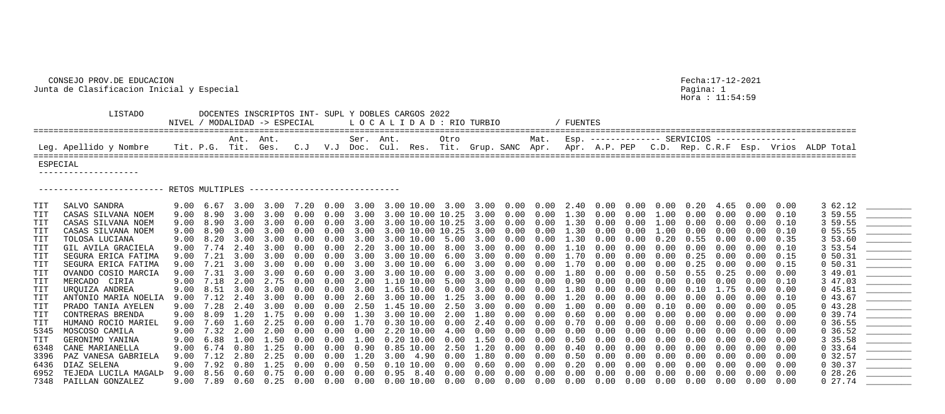## CONSEJO PROV.DE EDUCACION Fecha:17-12-2021 Junta de Clasificacion Inicial y Especial Pagina: 1

Hora : 11:54:59

| TURBIO                                                              | / FUENTES |  |  |  |                                                   |  |  |  |  |  |  |  |  |  |
|---------------------------------------------------------------------|-----------|--|--|--|---------------------------------------------------|--|--|--|--|--|--|--|--|--|
| Grup. SANC Apr. Apr. A.P. PEP C.D. Rep. C.R.F Esp. Vrios ALDP Total |           |  |  |  | Mat. Esp. ------------- SERVICIOS --------------- |  |  |  |  |  |  |  |  |  |
|                                                                     |           |  |  |  |                                                   |  |  |  |  |  |  |  |  |  |

 LISTADO DOCENTES INSCRIPTOS INT- SUPL Y DOBLES CARGOS 2022 NIVEL / MODALIDAD  $\rightarrow$  ESPECIAL  $\quad$  L O C A L I D A D : RIO ==================================================================================================================================================================== Ant. Ant. Ser. Ant. Otro Mat. Esp. -------------- SERVICIOS ---------------- Leg. Apellido y Nombre Tit. P.G. Tit. Ges. C.J V.J Doc. Cul. Res. Tit. ==================================================================================================================================================================== ESPECIAL -------------------- ------------------------- RETOS MULTIPLES ------------------------------ 7348 PAILLAN GONZALEZ 9.00 7.89 0.60 0.25 0.00 0.00 0.00 0.00 10.00 0.00 0.00 0.00 0.00 0.00 0.00 0.00 0.00 0.00 0.00 0.00 0.00 0 27.74 \_\_\_\_\_\_\_\_\_

| TIT            | SALVO SANDRA              |      |                   |            |           |            |                   |                   |                                  |           |                   |            |                                         |               |                  |                  |                      |            |                   |                   |      | 3 62.12    | <u> The Common Section of the Common Section of the Common Section of the Common Section of the Common Section of the Common Section of the Common Section of the Common Section of the Common Section of the Common Section of </u>                                                                                                                                                                                    |
|----------------|---------------------------|------|-------------------|------------|-----------|------------|-------------------|-------------------|----------------------------------|-----------|-------------------|------------|-----------------------------------------|---------------|------------------|------------------|----------------------|------------|-------------------|-------------------|------|------------|-------------------------------------------------------------------------------------------------------------------------------------------------------------------------------------------------------------------------------------------------------------------------------------------------------------------------------------------------------------------------------------------------------------------------|
| $\mathtt{TIT}$ | CASAS SILVANA NOEM        | 9.00 | 8.90              | 3.00       | 3.00      | 0.00       |                   | $0.00$ 3.00       | 3.00 10.00 10.25 3.00            |           |                   | 0.00       | $0.00 \quad 1.30$                       |               | $0.00$ $0.00$    |                  | $1\ldotp00$          | $0\,.\,00$ | 0.00              | 0.00              | 0.10 | 3 59.55    |                                                                                                                                                                                                                                                                                                                                                                                                                         |
|                | CASAS SILVANA NOEM        | 9.00 | 8.90              | 3.00       | 3.00      | 0.00       | 0.00              | 3.00              | 3.00 10.00 10.25 3.00            |           |                   | 0.00       |                                         | $0.00$ 1.30   | $0\,.\,00$       | $0\,.\,00$       | 00                   | $0\,.\,00$ | 0.00              |                   | 0.10 | 3 59.55    |                                                                                                                                                                                                                                                                                                                                                                                                                         |
| $\mathtt{TIT}$ | CASAS SILVANA NOEM        |      | 9.00 8.90         | 3.00       | 3.00      | 0.00       | 0.00              | 3.00              | 3.00 10.00 10.25 3.00            |           |                   | $0\,.\,00$ | $0.00 \quad 1.30$                       |               | $0.00$ $0.00$    |                  | 1.00                 | $0\,.\,00$ | 0.00              | 0.00              | 0.10 | 0, 55.55   |                                                                                                                                                                                                                                                                                                                                                                                                                         |
| TIT            | TOLOSA LUCIANA            |      | 9.00 8.20 3.00    |            | 3.00      | 0.00       |                   | $0.00$ 3.00       | 3.00 10.00 5.00 3.00             |           |                   | 0.00       | $0.00 \quad 1.30 \quad 0.00 \quad 0.00$ |               |                  |                  | $0.20$ $0.55$ $0.00$ |            |                   | $0.00 \quad 0.35$ |      | 3 53.60    |                                                                                                                                                                                                                                                                                                                                                                                                                         |
| $\mathtt{TIT}$ | GIL AVILA GRACIELA        |      | 9.00 7.74         | 2.40       | 3.00      | 0.00       |                   | $0.00$ 2.20       | 3.00 10.00 8.00 3.00             |           |                   | 0.00       | $0.00$ 1.10 0.00 0.00                   |               |                  |                  | 0.00                 | $0\,.\,00$ | 0.00              | $0.00$ $0.10$     |      | 3 53.54    |                                                                                                                                                                                                                                                                                                                                                                                                                         |
| TIT            | SEGURA ERICA FATIMA       |      | 9.00 7.21         | 3.00       | 3.00      | 0.00       | 0.00              | 3.00              | 3.00 10.00                       | 6.00 3.00 |                   | $0\,.\,00$ |                                         | $0.00$ $1.70$ | $0.00\quad 0.00$ |                  | $0\,.\,00$           | 0.25       | 0.00              | $0\,.\,00$        | 0.15 | 0 50.31    |                                                                                                                                                                                                                                                                                                                                                                                                                         |
|                | SEGURA ERICA FATIMA       | 9.00 | 7.21              | 3.00       | 3.00      | 0.00       |                   | $0.00$ 3.00       | 3.00 10.00 6.00 3.00             |           |                   | 0.00       | $0.00 \quad 1.70 \quad 0.00 \quad 0.00$ |               |                  |                  | $0\,.\,00$           | 0.25       | 0.00              | $0.00 \quad 0.15$ |      | 0 50.31    |                                                                                                                                                                                                                                                                                                                                                                                                                         |
| TIT            | OVANDO COSIO MARCIA       |      | 9.00 7.31         | 3.00       | 3.00      | 0.60       |                   | $0.00$ 3.00       | 3.00 10.00                       |           | $0.00$ $3.00$     | $0\,.\,00$ | $0.00 \quad 1.80 \quad 0.00 \quad 0.00$ |               |                  |                  | $0.50 \quad 0.55$    |            | 0.25              | $0.00 \quad 0.00$ |      | 3 49.01    |                                                                                                                                                                                                                                                                                                                                                                                                                         |
|                | MERCADO CIRIA             | 9.00 | 7.18              | 2.00       | 2.75      | $0\,.\,00$ | 0.00              | $2\,.\,00$        | $1.10$ $10.00$ $5.00$ $3.00$     |           |                   | $0\,.\,00$ | $0\,.\,00$                              | 0.90          | $0\,.\,00$       | 0.00             | $0\,.\,00$           | 0.00       | 0.00              | 0.00              | 0.10 | 3 47.03    | $\begin{tabular}{cccccc} \multicolumn{2}{c }{\textbf{1} & \textbf{2} & \textbf{3} & \textbf{4} & \textbf{5} & \textbf{5} & \textbf{6} & \textbf{6} & \textbf{7} & \textbf{8} & \textbf{8} & \textbf{9} & \textbf{10} & \textbf{10} & \textbf{10} & \textbf{10} & \textbf{10} & \textbf{10} & \textbf{10} & \textbf{10} & \textbf{10} & \textbf{10} & \textbf{10} & \textbf{10} & \textbf{10} & \textbf{10} & \textbf{1$ |
|                | URQUIZA ANDREA            |      | 9.00 8.51         | 3.00       | 3.00      | 0.00       |                   |                   | $0.00$ 3.00 1.65 10.00 0.00 3.00 |           |                   | 0.00       | $0.00 \quad 1.80 \quad 0.00 \quad 0.00$ |               |                  |                  | 0.00  0.10  1.75     |            |                   | $0.00 \quad 0.00$ |      | 045.81     |                                                                                                                                                                                                                                                                                                                                                                                                                         |
| TIT            | ANTONIO MARIA NOELIA      |      | $9.00 \quad 7.12$ | 2.40       | 3.00      | $0\,.\,00$ | $0.00$ 2.60       |                   | 3.00 10.00 1.25 3.00             |           |                   | 0.00       | $0.00 \quad 1.20 \quad 0.00 \quad 0.00$ |               |                  |                  | $0\,.\,00$           |            | $0.00\quad 0.00$  | $0.00$ $0.10$     |      | 043.67     |                                                                                                                                                                                                                                                                                                                                                                                                                         |
| TIT            | PRADO TANIA AYELEN        | 9.00 | 7.28              | 2.40       | 3.00      | 0.00       | 0.00              | 2.50              | 1.45 10.00                       | 2.50 3.00 |                   | 0.00       | $0.00$ $1.00$                           |               | $0\,.\,00$       | 0.00             | $0\ldots 10$         | $0\,.\,00$ | 0.00              | 0.00              | 0.05 | 043.28     |                                                                                                                                                                                                                                                                                                                                                                                                                         |
| $\mathtt{TIT}$ | CONTRERAS BRENDA          |      | 9.00 8.09         |            | 1.20 1.75 | $0\,.\,00$ |                   | $0.00 \quad 1.30$ | 3.00 10.00                       | 2.00 1.80 |                   | $0\,.\,00$ | $0\,.\,00$                              | 0.60          | $0.00\quad 0.00$ |                  | $0\,.\,00$           |            | $0.00 \quad 0.00$ | $0.00 \quad 0.00$ |      | 0.39.74    |                                                                                                                                                                                                                                                                                                                                                                                                                         |
|                | HUMANO ROCIO MARIEL       | 9.00 | 7.60              | 1.60       | 2.25      | $0\,.\,00$ | $0.00$ 1.70       |                   | $0.30\;10.00$                    |           | $0.00$ $2.40$     | $0\,.\,00$ | 0.00                                    | $0\,.70$      | $0\,.\,00$       | 0.00             | $0\,.\,00$           | $0\,.\,00$ | $0\,.\,00$        | 0.00              | 0.00 | 0, 36.55   |                                                                                                                                                                                                                                                                                                                                                                                                                         |
| 5345           | MOSCOSO CAMILA            |      | $9.00 \quad 7.32$ | 2.00       | 2.00      | 0.00       | $0.00 \quad 0.00$ |                   | 2.20 10.00 4.00 0.00             |           |                   | 0.00       | $0\,.\,00$                              | 0.00          | $0\,.\,00$       | 0.00             | 0.00                 |            | $0.00 \quad 0.00$ | $0\,.\,00$        | 0.00 | $0\,36.52$ |                                                                                                                                                                                                                                                                                                                                                                                                                         |
| TIT            | GERONIMO YANINA           |      | $9.00 \quad 6.88$ | $1\,.\,00$ | 1.50      | 0.00       | $0.00$ $1.00$     |                   | $0.20\;10.00$                    |           | $0.00 \quad 1.50$ | $0\,.\,00$ | 0.00                                    | 0.50          | $0.00\quad 0.00$ |                  | $0\,.\,00$           | $0\,.\,00$ | 0.00              | 0.00              | 0.00 | 3 35.58    |                                                                                                                                                                                                                                                                                                                                                                                                                         |
|                | 6348 CANE MARIANELLA      | 9.00 | 6.74              | 0.80       | 1.25      | 0.00       |                   | $0.00 \quad 0.90$ | $0.85$ 10.00 2.50 1.20           |           |                   | $0\,.\,00$ | $0\,.\,00$                              | 0.40          | $0\,.\,00$       | $0\,.\,00$       | $0\,.\,00$           | 0.00       | 0.00              | 0.00              | 0.00 | 0, 33.64   |                                                                                                                                                                                                                                                                                                                                                                                                                         |
|                | 3396 PAZ VANESA GABRIELA  |      | $9.00 \quad 7.12$ | 2.80       | 2.25      | $0\,.\,00$ | $0.00 \quad 1.20$ |                   | $3.00 \quad 4.90$                |           | $0.00$ $1.80$     | 0.00       | $0\,.\,00$                              | 0.50          | $0.00\quad 0.00$ |                  | $0\,.\,00$           | $0\,.\,00$ | 0.00              | $0.00 \quad 0.00$ |      | 0, 32.57   |                                                                                                                                                                                                                                                                                                                                                                                                                         |
| 6436           | DIAZ SELENA               | 9.00 | 7.92              | 0.80       | 1.25      | 0.00       | 0.00              | 0.50              | $0.10$ $10.00$                   | 0.00      | 0.60              | 0.00       | 0.00                                    | 0.20          | $0\,.\,00$       | 0.00             | 0.00                 | 0.00       | 0.00              |                   | 0.00 | 0, 30.37   |                                                                                                                                                                                                                                                                                                                                                                                                                         |
|                | 6952 TEJEDA LUCILA MAGALP | 9.00 | 8.56              | 0.60       | 0.75      | 0.00       | 0.00              | 0.00              | $0.95$ 8.40                      | 0.00      | $0\,.\,00$        | 0.00       | $0\,.\,00$                              | 0.00          | $0\,.\,00$       | 0.00             | $0\,.\,00$           | 0.00       | 0.00              | 0.00              | 0.00 | $0\,28.26$ |                                                                                                                                                                                                                                                                                                                                                                                                                         |
|                | 7348 PAILLAN GONZALEZ     |      | 9.00 7.89         | 0.60       | 0.25      | 0.00       | $0.00 \quad 0.00$ |                   | $0.00\;10.00$                    |           | $0.00\quad 0.00$  | 0.00       | $0.00\quad 0.00$                        |               |                  | $0.00\quad 0.00$ | $0\,.\,00$           |            | $0.00\quad 0.00$  | $0\,.\,00$        | 0.00 | $0\;27.74$ |                                                                                                                                                                                                                                                                                                                                                                                                                         |